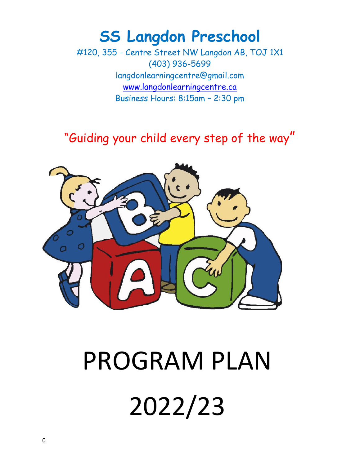# **SS Langdon Preschool**

#120, 355 - Centre Street NW Langdon AB, TOJ 1X1 (403) 936-5699 langdonlearningcentre@gmail.com [www.l](http://www.langdonpreschool.com/)angdonlearningcentre.ca Business Hours: 8:15am – 2:30 pm

### "Guiding your child every step of the way"



# PROGRAM PLAN 2022/23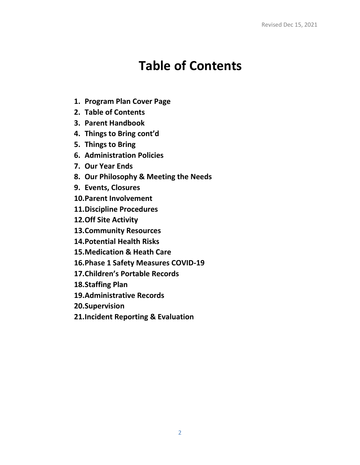# **Table of Contents**

- **1. Program Plan Cover Page**
- **2. Table of Contents**
- **3. Parent Handbook**
- **4. Things to Bring cont'd**
- **5. Things to Bring**
- **6. Administration Policies**
- **7. Our Year Ends**
- **8. Our Philosophy & Meeting the Needs**
- **9. Events, Closures**
- **10.Parent Involvement**
- **11.Discipline Procedures**
- **12.Off Site Activity**
- **13.Community Resources**
- **14.Potential Health Risks**
- **15.Medication & Heath Care**
- **16.Phase 1 Safety Measures COVID-19**
- **17.Children's Portable Records**
- **18.Staffing Plan**
- **19.Administrative Records**
- **20.Supervision**
- **21.Incident Reporting & Evaluation**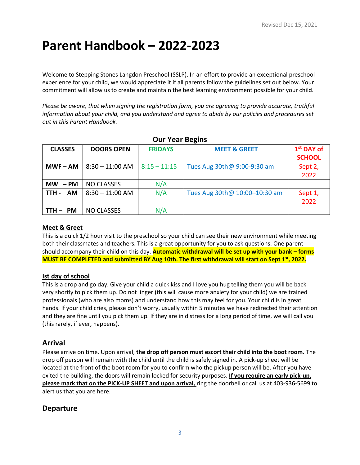# **Parent Handbook – 2022-2023**

Welcome to Stepping Stones Langdon Preschool (SSLP). In an effort to provide an exceptional preschool experience for your child, we would appreciate it if all parents follow the guidelines set out below. Your commitment will allow us to create and maintain the best learning environment possible for your child.

*Please be aware, that when signing the registration form, you are agreeing to provide accurate, truthful information about your child, and you understand and agree to abide by our policies and procedures set out in this Parent Handbook.*

| <b>UUI ICAI DERIIIS</b> |                   |                |                               |                                         |  |
|-------------------------|-------------------|----------------|-------------------------------|-----------------------------------------|--|
| <b>CLASSES</b>          | <b>DOORS OPEN</b> | <b>FRIDAYS</b> | <b>MEET &amp; GREET</b>       | 1 <sup>st</sup> DAY of<br><b>SCHOOL</b> |  |
| $MWF - AM$              | $8:30 - 11:00$ AM | $8:15 - 11:15$ | Tues Aug 30th@ 9:00-9:30 am   | Sept 2,<br>2022                         |  |
| $MW - PM$               | <b>NO CLASSES</b> | N/A            |                               |                                         |  |
| <b>AM</b><br>TTH -      | $8:30 - 11:00$ AM | N/A            | Tues Aug 30th@ 10:00-10:30 am | Sept 1,<br>2022                         |  |
| <b>PM</b><br>TTH-       | <b>NO CLASSES</b> | N/A            |                               |                                         |  |

| <b>Our Year Begins</b> |  |
|------------------------|--|
|------------------------|--|

#### **Meet & Greet**

This is a quick 1/2 hour visit to the preschool so your child can see their new environment while meeting both their classmates and teachers. This is a great opportunity for you to ask questions. One parent should accompany their child on this day. **Automatic withdrawal will be set up with your bank – forms MUST BE COMPLETED and submitted BY Aug 10th. The first withdrawal will start on Sept 1 st, 2022.**

#### **Ist day of school**

This is a drop and go day. Give your child a quick kiss and I love you hug telling them you will be back very shortly to pick them up. Do not linger (this will cause more anxiety for your child) we are trained professionals (who are also moms) and understand how this may feel for you. Your child is in great hands. If your child cries, please don't worry, usually within 5 minutes we have redirected their attention and they are fine until you pick them up. If they are in distress for a long period of time, we will call you (this rarely, if ever, happens).

#### **Arrival**

Please arrive on time. Upon arrival, **the drop off person must escort their child into the boot room.** The drop off person will remain with the child until the child is safely signed in. A pick-up sheet will be located at the front of the boot room for you to confirm who the pickup person will be. After you have exited the building, the doors will remain locked for security purposes. **If you require an early pick-up, please mark that on the PICK-UP SHEET and upon arrival,** ring the doorbell or call us at 403-936-5699 to alert us that you are here.

#### **Departure**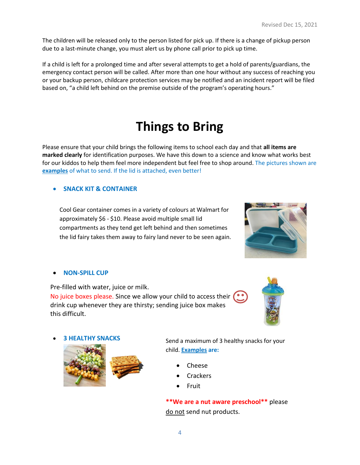The children will be released only to the person listed for pick up. If there is a change of pickup person due to a last-minute change, you must alert us by phone call prior to pick up time.

If a child is left for a prolonged time and after several attempts to get a hold of parents/guardians, the emergency contact person will be called. After more than one hour without any success of reaching you or your backup person, childcare protection services may be notified and an incident report will be filed based on, "a child left behind on the premise outside of the program's operating hours."

# **Things to Bring**

Please ensure that your child brings the following items to school each day and that **all items are marked clearly** for identification purposes. We have this down to a science and know what works best for our kiddos to help them feel more independent but feel free to shop around. The pictures shown are **examples** of what to send. If the lid is attached, even better!

#### • **SNACK KIT & CONTAINER**

Cool Gear container comes in a variety of colours at Walmart for approximately \$6 - \$10. Please avoid multiple small lid compartments as they tend get left behind and then sometimes the lid fairy takes them away to fairy land never to be seen again.



#### • **NON-SPILL CUP**

Pre-filled with water, juice or milk.

No juice boxes please. Since we allow your child to access their ( ... drink cup whenever they are thirsty; sending juice box makes this difficult.





Send a maximum of 3 healthy snacks for your child. **Examples are:** 

- Cheese
- **Crackers**
- Fruit

**\*\*We are a nut aware preschool\*\*** please do not send nut products.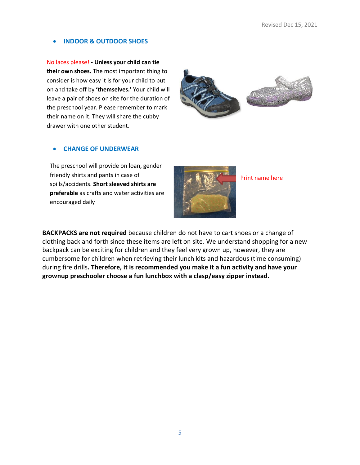#### • **INDOOR & OUTDOOR SHOES**

No laces please! **- Unless your child can tie their own shoes.** The most important thing to consider is how easy it is for your child to put on and take off by **'themselves.'** Your child will leave a pair of shoes on site for the duration of the preschool year. Please remember to mark their name on it. They will share the cubby drawer with one other student.



#### • **CHANGE OF UNDERWEAR**

The preschool will provide on loan, gender friendly shirts and pants in case of spills/accidents. **Short sleeved shirts are preferable** as crafts and water activities are encouraged daily



Print name here

**BACKPACKS are not required** because children do not have to cart shoes or a change of clothing back and forth since these items are left on site. We understand shopping for a new backpack can be exciting for children and they feel very grown up, however, they are cumbersome for children when retrieving their lunch kits and hazardous (time consuming) during fire drills**. Therefore, it is recommended you make it a fun activity and have your grownup preschooler choose a fun lunchbox with a clasp/easy zipper instead.**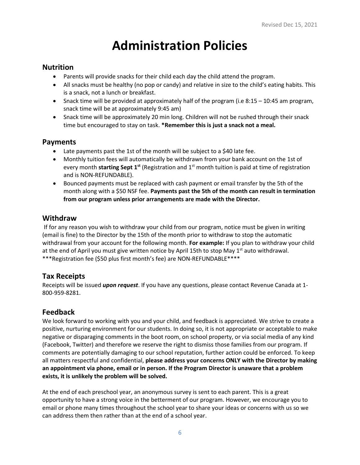# **Administration Policies**

#### **Nutrition**

- Parents will provide snacks for their child each day the child attend the program.
- All snacks must be healthy (no pop or candy) and relative in size to the child's eating habits. This is a snack, not a lunch or breakfast.
- Snack time will be provided at approximately half of the program (i.e 8:15 10:45 am program, snack time will be at approximately 9:45 am)
- Snack time will be approximately 20 min long. Children will not be rushed through their snack time but encouraged to stay on task. **\*Remember this is just a snack not a meal.**

### **Payments**

- Late payments past the 1st of the month will be subject to a \$40 late fee.
- Monthly tuition fees will automatically be withdrawn from your bank account on the 1st of every month starting Sept 1<sup>st</sup> (Registration and 1<sup>st</sup> month tuition is paid at time of registration and is NON-REFUNDABLE).
- Bounced payments must be replaced with cash payment or email transfer by the 5th of the month along with a \$50 NSF fee. **Payments past the 5th of the month can result in termination from our program unless prior arrangements are made with the Director.**

#### **Withdraw**

If for any reason you wish to withdraw your child from our program, notice must be given in writing (email is fine) to the Director by the 15th of the month prior to withdraw to stop the automatic withdrawal from your account for the following month. **For example:** If you plan to withdraw your child at the end of April you must give written notice by April 15th to stop May 1<sup>st</sup> auto withdrawal. \*\*\*Registration fee (\$50 plus first month's fee) are NON-REFUNDABLE\*\*\*\*

### **Tax Receipts**

Receipts will be issued *upon request*. If you have any questions, please contact Revenue Canada at 1- 800-959-8281.

### **Feedback**

We look forward to working with you and your child, and feedback is appreciated. We strive to create a positive, nurturing environment for our students. In doing so, it is not appropriate or acceptable to make negative or disparaging comments in the boot room, on school property, or via social media of any kind (Facebook, Twitter) and therefore we reserve the right to dismiss those families from our program. If comments are potentially damaging to our school reputation, further action could be enforced. To keep all matters respectful and confidential, **please address your concerns ONLY with the Director by making an appointment via phone, email or in person. If the Program Director is unaware that a problem exists, it is unlikely the problem will be solved.** 

At the end of each preschool year, an anonymous survey is sent to each parent. This is a great opportunity to have a strong voice in the betterment of our program. However, we encourage you to email or phone many times throughout the school year to share your ideas or concerns with us so we can address them then rather than at the end of a school year.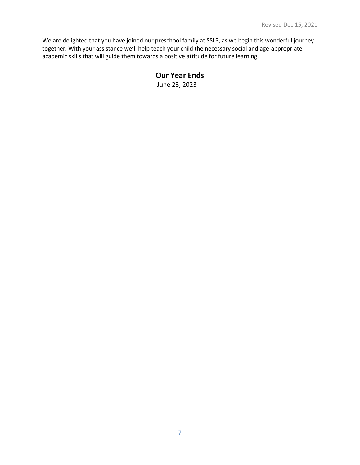We are delighted that you have joined our preschool family at SSLP, as we begin this wonderful journey together. With your assistance we'll help teach your child the necessary social and age-appropriate academic skills that will guide them towards a positive attitude for future learning.

#### **Our Year Ends**

June 23, 2023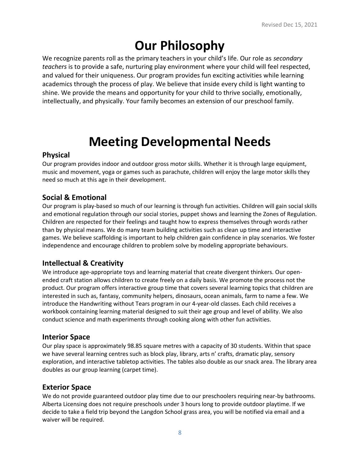# **Our Philosophy**

We recognize parents roll as the primary teachers in your child's life. Our role as *secondary teachers* is to provide a safe, nurturing play environment where your child will feel respected, and valued for their uniqueness. Our program provides fun exciting activities while learning academics through the process of play. We believe that inside every child is light wanting to shine. We provide the means and opportunity for your child to thrive socially, emotionally, intellectually, and physically. Your family becomes an extension of our preschool family.

### **Meeting Developmental Needs**

#### **Physical**

Our program provides indoor and outdoor gross motor skills. Whether it is through large equipment, music and movement, yoga or games such as parachute, children will enjoy the large motor skills they need so much at this age in their development.

### **Social & Emotional**

Our program is play-based so much of our learning is through fun activities. Children will gain social skills and emotional regulation through our social stories, puppet shows and learning the Zones of Regulation. Children are respected for their feelings and taught how to express themselves through words rather than by physical means. We do many team building activities such as clean up time and interactive games. We believe scaffolding is important to help children gain confidence in play scenarios. We foster independence and encourage children to problem solve by modeling appropriate behaviours.

### **Intellectual & Creativity**

We introduce age-appropriate toys and learning material that create divergent thinkers. Our openended craft station allows children to create freely on a daily basis. We promote the process not the product. Our program offers interactive group time that covers several learning topics that children are interested in such as, fantasy, community helpers, dinosaurs, ocean animals, farm to name a few. We introduce the Handwriting without Tears program in our 4-year-old classes. Each child receives a workbook containing learning material designed to suit their age group and level of ability. We also conduct science and math experiments through cooking along with other fun activities.

#### **Interior Space**

Our play space is approximately 98.85 square metres with a capacity of 30 students. Within that space we have several learning centres such as block play, library, arts n' crafts, dramatic play, sensory exploration, and interactive tabletop activities. The tables also double as our snack area. The library area doubles as our group learning (carpet time).

#### **Exterior Space**

We do not provide guaranteed outdoor play time due to our preschoolers requiring near-by bathrooms. Alberta Licensing does not require preschools under 3 hours long to provide outdoor playtime. If we decide to take a field trip beyond the Langdon School grass area, you will be notified via email and a waiver will be required.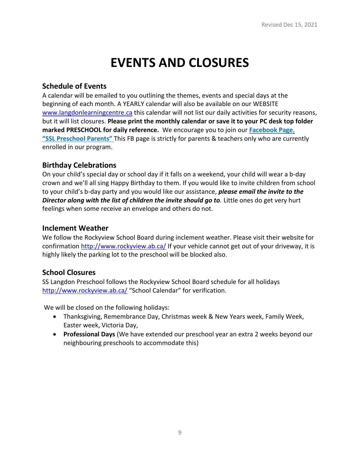# **EVENTS AND CLOSURES**

#### **Schedule of Events**

A calendar will be emailed to you outlining the themes, events and special days at the beginning of each month. A YEARLY calendar will also be available on our WEBSITE [www.langdonl](http://www.langdon/)earningcentre.ca this calendar will not list our daily activities for security reasons, but it will list closures. **Please print the monthly calendar or save it to your PC desk top folder marked PRESCHOOL for daily reference.** We encourage you to join our **Facebook Page**. **"SSL Preschool Parents"** This FB page is strictly for parents & teachers only who are currently enrolled in our program.

#### **Birthday Celebrations**

On your child's special day or school day if it falls on a weekend, your child will wear a b-day crown and we'll all sing Happy Birthday to them. If you would like to invite children from school to your child's b-day party and you would like our assistance, *please email the invite to the*  **Director along with the list of children the invite should go to**. Little ones do get very hurt feelings when some receive an envelope and others do not.

#### **Inclement Weather**

We follow the Rockyview School Board during inclement weather. Please visit their website for confirmation<http://www.rockyview.ab.ca/> If your vehicle cannot get out of your driveway, it is highly likely the parking lot to the preschool will be blocked also.

### **School Closures**

SS Langdon Preschool follows the Rockyview School Board schedule for all holidays <http://www.rockyview.ab.ca/> "School Calendar" for verification.

We will be closed on the following holidays:

- Thanksgiving, Remembrance Day, Christmas week & New Years week, Family Week, Easter week, Victoria Day,
- **Professional Days** (We have extended our preschool year an extra 2 weeks beyond our neighbouring preschools to accommodate this)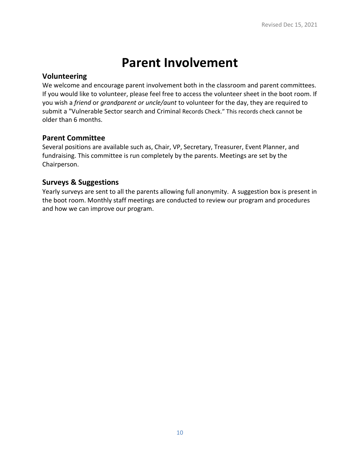### **Parent Involvement**

#### **Volunteering**

We welcome and encourage parent involvement both in the classroom and parent committees. If you would like to volunteer, please feel free to access the volunteer sheet in the boot room. If you wish a *friend* or *grandparent or uncle/aunt* to volunteer for the day, they are required to submit a "Vulnerable Sector search and Criminal Records Check." This records check cannot be older than 6 months.

#### **Parent Committee**

Several positions are available such as, Chair, VP, Secretary, Treasurer, Event Planner, and fundraising. This committee is run completely by the parents. Meetings are set by the Chairperson.

#### **Surveys & Suggestions**

Yearly surveys are sent to all the parents allowing full anonymity. A suggestion box is present in the boot room. Monthly staff meetings are conducted to review our program and procedures and how we can improve our program.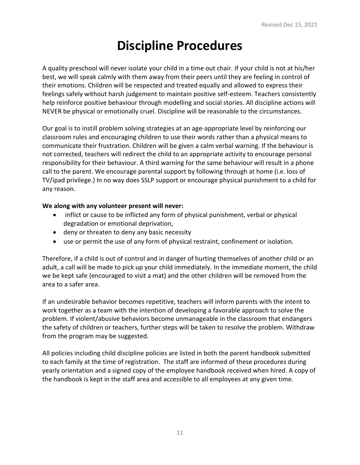### **Discipline Procedures**

A quality preschool will never isolate your child in a time out chair. If your child is not at his/her best, we will speak calmly with them away from their peers until they are feeling in control of their emotions. Children will be respected and treated equally and allowed to express their feelings safely without harsh judgement to maintain positive self-esteem. Teachers consistently help reinforce positive behaviour through modelling and social stories. All discipline actions will NEVER be physical or emotionally cruel. Discipline will be reasonable to the circumstances.

Our goal is to instill problem solving strategies at an age-appropriate level by reinforcing our classroom rules and encouraging children to use their words rather than a physical means to communicate their frustration. Children will be given a calm verbal warning. If the behaviour is not corrected, teachers will redirect the child to an appropriate activity to encourage personal responsibility for their behaviour. A third warning for the same behaviour will result in a phone call to the parent. We encourage parental support by following through at home (i.e. loss of TV/ipad privilege.) In no way does SSLP support or encourage physical punishment to a child for any reason.

#### **We along with any volunteer present will never:**

- inflict or cause to be inflicted any form of physical punishment, verbal or physical degradation or emotional deprivation,
- deny or threaten to deny any basic necessity
- use or permit the use of any form of physical restraint, confinement or isolation.

Therefore, if a child is out of control and in danger of hurting themselves of another child or an adult, a call will be made to pick up your child immediately. In the immediate moment, the child we be kept safe (encouraged to visit a mat) and the other children will be removed from the area to a safer area.

If an undesirable behavior becomes repetitive, teachers will inform parents with the intent to work together as a team with the intention of developing a favorable approach to solve the problem. If violent/abusive behaviors become unmanageable in the classroom that endangers the safety of children or teachers, further steps will be taken to resolve the problem. Withdraw from the program may be suggested.

All policies including child discipline policies are listed in both the parent handbook submitted to each family at the time of registration. The staff are informed of these procedures during yearly orientation and a signed copy of the employee handbook received when hired. A copy of the handbook is kept in the staff area and accessible to all employees at any given time.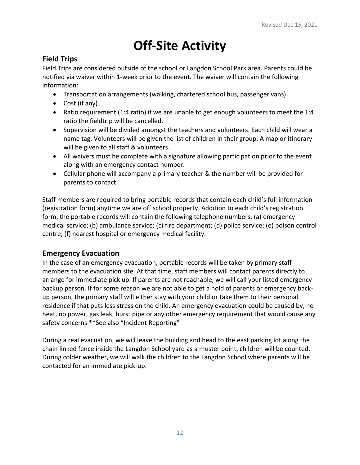# **Off-Site Activity**

### **Field Trips**

Field Trips are considered outside of the school or Langdon School Park area. Parents could be notified via waiver within 1-week prior to the event. The waiver will contain the following information:

- Transportation arrangements (walking, chartered school bus, passenger vans)
- Cost (if any)
- Ratio requirement (1:4 ratio) if we are unable to get enough volunteers to meet the 1:4 ratio the fieldtrip will be cancelled.
- Supervision will be divided amongst the teachers and volunteers. Each child will wear a name tag. Volunteers will be given the list of children in their group. A map or itinerary will be given to all staff & volunteers.
- All waivers must be complete with a signature allowing participation prior to the event along with an emergency contact number.
- Cellular phone will accompany a primary teacher & the number will be provided for parents to contact.

Staff members are required to bring portable records that contain each child's full information (registration form) anytime we are off school property. Addition to each child's registration form, the portable records will contain the following telephone numbers: (a) emergency medical service; (b) ambulance service; (c) fire department; (d) police service; (e) poison control centre; (f) nearest hospital or emergency medical facility.

### **Emergency Evacuation**

In the case of an emergency evacuation, portable records will be taken by primary staff members to the evacuation site. At that time, staff members will contact parents directly to arrange for immediate pick up. If parents are not reachable, we will call your listed emergency backup person. If for some reason we are not able to get a hold of parents or emergency backup person, the primary staff will either stay with your child or take them to their personal residence if that puts less stress on the child. An emergency evacuation could be caused by, no heat, no power, gas leak, burst pipe or any other emergency requirement that would cause any safety concerns \*\*See also "Incident Reporting"

During a real evacuation, we will leave the building and head to the east parking lot along the chain linked fence inside the Langdon School yard as a muster point, children will be counted. During colder weather, we will walk the children to the Langdon School where parents will be contacted for an immediate pick-up.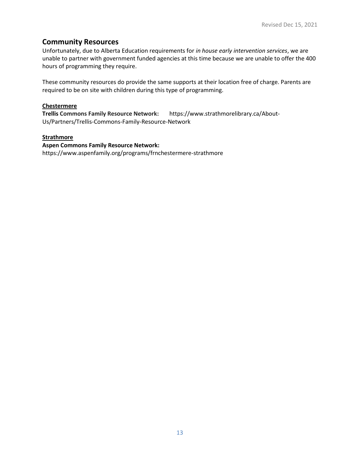#### **Community Resources**

Unfortunately, due to Alberta Education requirements for *in house early intervention services*, we are unable to partner with government funded agencies at this time because we are unable to offer the 400 hours of programming they require.

These community resources do provide the same supports at their location free of charge. Parents are required to be on site with children during this type of programming.

#### **Chestermere**

**Trellis Commons Family Resource Network:** https://www.strathmorelibrary.ca/About-Us/Partners/Trellis-Commons-Family-Resource-Network

#### **Strathmore**

#### **Aspen Commons Family Resource Network:**

https://www.aspenfamily.org/programs/frnchestermere-strathmore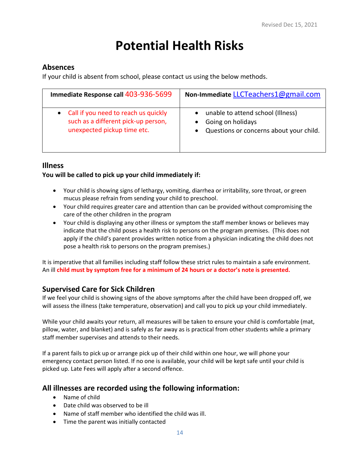# **Potential Health Risks**

#### **Absences**

If your child is absent from school, please contact us using the below methods.

| Immediate Response call 403-936-5699                                                                         | Non-Immediate LLCTeachers1@gmail.com                                                                                        |
|--------------------------------------------------------------------------------------------------------------|-----------------------------------------------------------------------------------------------------------------------------|
| • Call if you need to reach us quickly<br>such as a different pick-up person,<br>unexpected pickup time etc. | unable to attend school (Illness)<br>$\bullet$<br>Going on holidays<br>Questions or concerns about your child.<br>$\bullet$ |

#### **Illness**

#### **You will be called to pick up your child immediately if:**

- Your child is showing signs of lethargy, vomiting, diarrhea or irritability, sore throat, or green mucus please refrain from sending your child to preschool.
- Your child requires greater care and attention than can be provided without compromising the care of the other children in the program
- Your child is displaying any other illness or symptom the staff member knows or believes may indicate that the child poses a health risk to persons on the program premises. (This does not apply if the child's parent provides written notice from a physician indicating the child does not pose a health risk to persons on the program premises.)

It is imperative that all families including staff follow these strict rules to maintain a safe environment. An ill **child must by symptom free for a minimum of 24 hours or a doctor's note is presented.**

### **Supervised Care for Sick Children**

If we feel your child is showing signs of the above symptoms after the child have been dropped off, we will assess the illness (take temperature, observation) and call you to pick up your child immediately.

While your child awaits your return, all measures will be taken to ensure your child is comfortable (mat, pillow, water, and blanket) and is safely as far away as is practical from other students while a primary staff member supervises and attends to their needs.

If a parent fails to pick up or arrange pick up of their child within one hour, we will phone your emergency contact person listed. If no one is available, your child will be kept safe until your child is picked up. Late Fees will apply after a second offence.

#### **All illnesses are recorded using the following information:**

- Name of child
- Date child was observed to be ill
- Name of staff member who identified the child was ill.
- Time the parent was initially contacted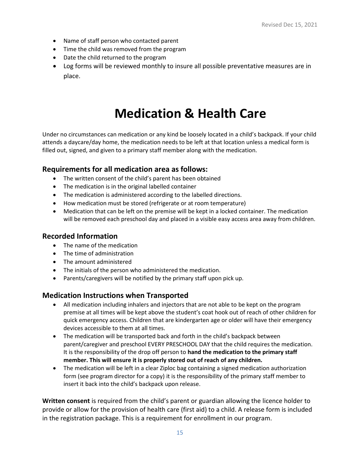- Name of staff person who contacted parent
- Time the child was removed from the program
- Date the child returned to the program
- Log forms will be reviewed monthly to insure all possible preventative measures are in place.

# **Medication & Health Care**

Under no circumstances can medication or any kind be loosely located in a child's backpack. If your child attends a daycare/day home, the medication needs to be left at that location unless a medical form is filled out, signed, and given to a primary staff member along with the medication.

#### **Requirements for all medication area as follows:**

- The written consent of the child's parent has been obtained
- The medication is in the original labelled container
- The medication is administered according to the labelled directions.
- How medication must be stored (refrigerate or at room temperature)
- Medication that can be left on the premise will be kept in a locked container. The medication will be removed each preschool day and placed in a visible easy access area away from children.

#### **Recorded Information**

- The name of the medication
- The time of administration
- The amount administered
- The initials of the person who administered the medication.
- Parents/caregivers will be notified by the primary staff upon pick up.

### **Medication Instructions when Transported**

- All medication including inhalers and injectors that are not able to be kept on the program premise at all times will be kept above the student's coat hook out of reach of other children for quick emergency access. Children that are kindergarten age or older will have their emergency devices accessible to them at all times.
- The medication will be transported back and forth in the child's backpack between parent/caregiver and preschool EVERY PRESCHOOL DAY that the child requires the medication. It is the responsibility of the drop off person to **hand the medication to the primary staff member. This will ensure it is properly stored out of reach of any children.**
- The medication will be left in a clear Ziploc bag containing a signed medication authorization form (see program director for a copy) it is the responsibility of the primary staff member to insert it back into the child's backpack upon release.

**Written consent** is required from the child's parent or guardian allowing the licence holder to provide or allow for the provision of health care (first aid) to a child. A release form is included in the registration package. This is a requirement for enrollment in our program.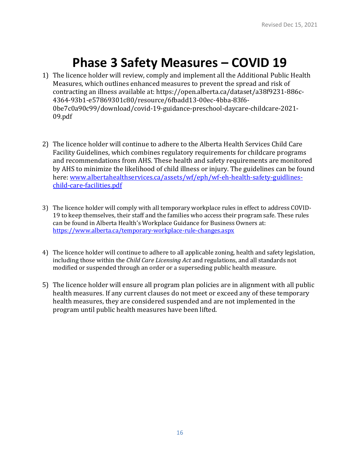# **Phase 3 Safety Measures – COVID 19**

- 1) The licence holder will review, comply and implement all the Additional Public Health Measures, which outlines enhanced measures to prevent the spread and risk of contracting an illness available at: https://open.alberta.ca/dataset/a38f9231-886c-4364-93b1-e57869301c80/resource/6fbadd13-00ec-4bba-83f6- 0be7c0a90c99/download/covid-19-guidance-preschool-daycare-childcare-2021- 09.pdf
- 2) The licence holder will continue to adhere to the Alberta Health Services Child Care Facility Guidelines, which combines regulatory requirements for childcare programs and recommendations from AHS. These health and safety requirements are monitored by AHS to minimize the likelihood of child illness or injury. The guidelines can be found here: [www.albertahealthservices.ca/assets/wf/eph/wf-eh-health-safety-guidlines](about:blank)[child-care-facilities.pdf](about:blank)
- 3) The licence holder will comply with all temporary workplace rules in effect to address COVID-19 to keep themselves, their staff and the families who access their program safe. These rules can be found in Alberta Health's Workplace Guidance for Business Owners at: [https://www.alberta.ca/temporary-workplace-rule-changes.aspx](about:blank)
- 4) The licence holder will continue to adhere to all applicable zoning, health and safety legislation, including those within the *Child Care Licensing Act* and regulations, and all standards not modified or suspended through an order or a superseding public health measure.
- 5) The licence holder will ensure all program plan policies are in alignment with all public health measures. If any current clauses do not meet or exceed any of these temporary health measures, they are considered suspended and are not implemented in the program until public health measures have been lifted.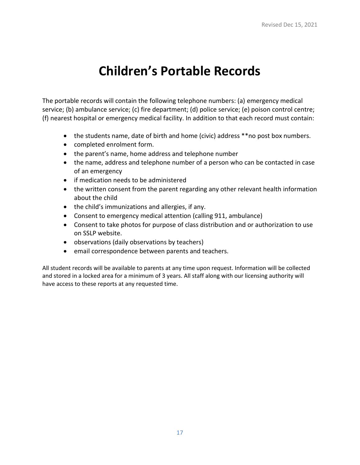# **Children's Portable Records**

The portable records will contain the following telephone numbers: (a) emergency medical service; (b) ambulance service; (c) fire department; (d) police service; (e) poison control centre; (f) nearest hospital or emergency medical facility. In addition to that each record must contain:

- the students name, date of birth and home (civic) address \*\*no post box numbers.
- completed enrolment form.
- the parent's name, home address and telephone number
- the name, address and telephone number of a person who can be contacted in case of an emergency
- if medication needs to be administered
- the written consent from the parent regarding any other relevant health information about the child
- the child's immunizations and allergies, if any.
- Consent to emergency medical attention (calling 911, ambulance)
- Consent to take photos for purpose of class distribution and or authorization to use on SSLP website.
- observations (daily observations by teachers)
- email correspondence between parents and teachers.

All student records will be available to parents at any time upon request. Information will be collected and stored in a locked area for a minimum of 3 years. All staff along with our licensing authority will have access to these reports at any requested time.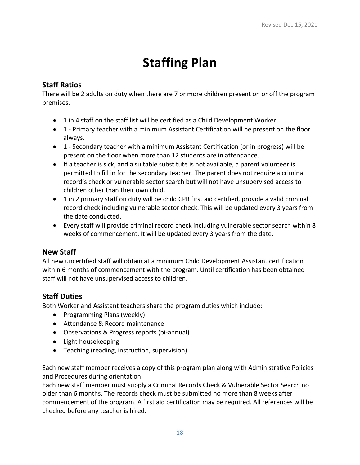# **Staffing Plan**

### **Staff Ratios**

There will be 2 adults on duty when there are 7 or more children present on or off the program premises.

- 1 in 4 staff on the staff list will be certified as a Child Development Worker.
- 1 Primary teacher with a minimum Assistant Certification will be present on the floor always.
- 1 Secondary teacher with a minimum Assistant Certification (or in progress) will be present on the floor when more than 12 students are in attendance.
- If a teacher is sick, and a suitable substitute is not available, a parent volunteer is permitted to fill in for the secondary teacher. The parent does not require a criminal record's check or vulnerable sector search but will not have unsupervised access to children other than their own child.
- 1 in 2 primary staff on duty will be child CPR first aid certified, provide a valid criminal record check including vulnerable sector check. This will be updated every 3 years from the date conducted.
- Every staff will provide criminal record check including vulnerable sector search within 8 weeks of commencement. It will be updated every 3 years from the date.

### **New Staff**

All new uncertified staff will obtain at a minimum Child Development Assistant certification within 6 months of commencement with the program. Until certification has been obtained staff will not have unsupervised access to children.

### **Staff Duties**

Both Worker and Assistant teachers share the program duties which include:

- Programming Plans (weekly)
- Attendance & Record maintenance
- Observations & Progress reports (bi-annual)
- Light housekeeping
- Teaching (reading, instruction, supervision)

Each new staff member receives a copy of this program plan along with Administrative Policies and Procedures during orientation.

Each new staff member must supply a Criminal Records Check & Vulnerable Sector Search no older than 6 months. The records check must be submitted no more than 8 weeks after commencement of the program. A first aid certification may be required. All references will be checked before any teacher is hired.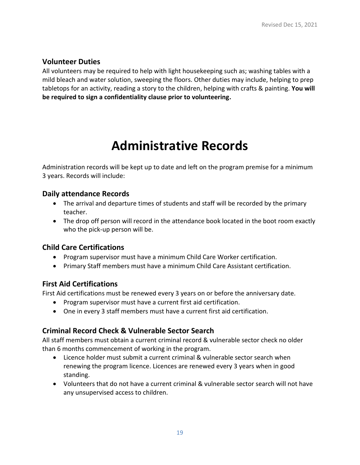### **Volunteer Duties**

All volunteers may be required to help with light housekeeping such as; washing tables with a mild bleach and water solution, sweeping the floors. Other duties may include, helping to prep tabletops for an activity, reading a story to the children, helping with crafts & painting. **You will be required to sign a confidentiality clause prior to volunteering.**

# **Administrative Records**

Administration records will be kept up to date and left on the program premise for a minimum 3 years. Records will include:

#### **Daily attendance Records**

- The arrival and departure times of students and staff will be recorded by the primary teacher.
- The drop off person will record in the attendance book located in the boot room exactly who the pick-up person will be.

### **Child Care Certifications**

- Program supervisor must have a minimum Child Care Worker certification.
- Primary Staff members must have a minimum Child Care Assistant certification.

### **First Aid Certifications**

First Aid certifications must be renewed every 3 years on or before the anniversary date.

- Program supervisor must have a current first aid certification.
- One in every 3 staff members must have a current first aid certification.

### **Criminal Record Check & Vulnerable Sector Search**

All staff members must obtain a current criminal record & vulnerable sector check no older than 6 months commencement of working in the program.

- Licence holder must submit a current criminal & vulnerable sector search when renewing the program licence. Licences are renewed every 3 years when in good standing.
- Volunteers that do not have a current criminal & vulnerable sector search will not have any unsupervised access to children.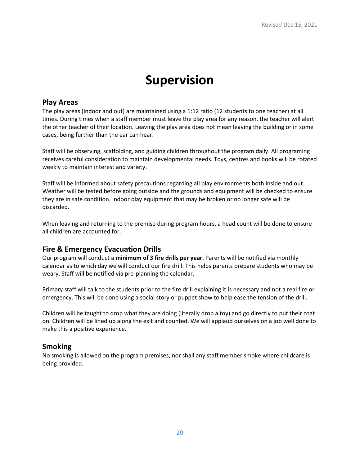### **Supervision**

#### **Play Areas**

The play areas (indoor and out) are maintained using a 1:12 ratio (12 students to one teacher) at all times. During times when a staff member must leave the play area for any reason, the teacher will alert the other teacher of their location. Leaving the play area does not mean leaving the building or in some cases, being further than the ear can hear.

Staff will be observing, scaffolding, and guiding children throughout the program daily. All programing receives careful consideration to maintain developmental needs. Toys, centres and books will be rotated weekly to maintain interest and variety.

Staff will be informed about safety precautions regarding all play environments both inside and out. Weather will be tested before going outside and the grounds and equipment will be checked to ensure they are in safe condition. Indoor play equipment that may be broken or no longer safe will be discarded.

When leaving and returning to the premise during program hours, a head count will be done to ensure all children are accounted for.

#### **Fire & Emergency Evacuation Drills**

Our program will conduct a **minimum of 3 fire drills per year.** Parents will be notified via monthly calendar as to which day we will conduct our fire drill. This helps parents prepare students who may be weary. Staff will be notified via pre-planning the calendar.

Primary staff will talk to the students prior to the fire drill explaining it is necessary and not a real fire or emergency. This will be done using a social story or puppet show to help ease the tension of the drill.

Children will be taught to drop what they are doing (literally drop a toy) and go directly to put their coat on. Children will be lined up along the exit and counted. We will applaud ourselves on a job well done to make this a positive experience.

#### **Smoking**

No smoking is allowed on the program premises, nor shall any staff member smoke where childcare is being provided.